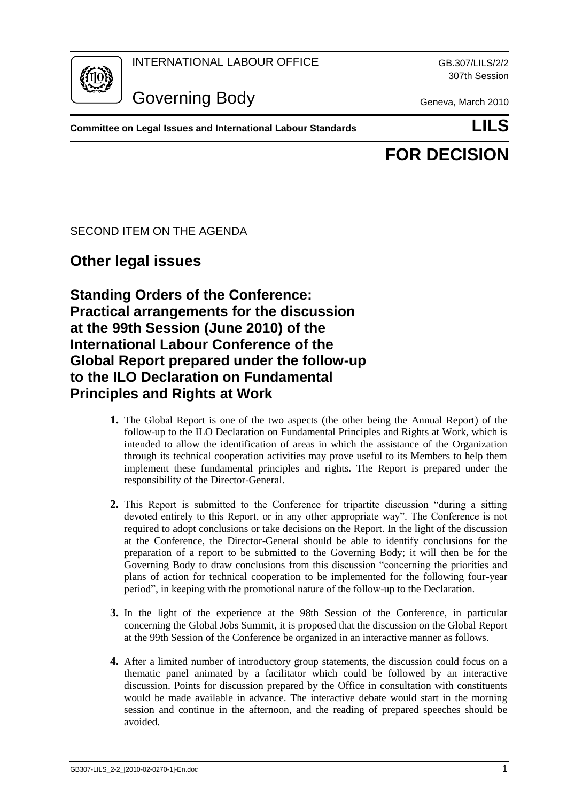INTERNATIONAL LABOUR OFFICE GB.307/LILS/2/2



Governing Body Geneva, March 2010

307th Session

**Committee on Legal Issues and International Labour Standards LILS**

# **FOR DECISION**

## SECOND ITEM ON THE AGENDA

# **Other legal issues**

**Standing Orders of the Conference: Practical arrangements for the discussion at the 99th Session (June 2010) of the International Labour Conference of the Global Report prepared under the follow-up to the ILO Declaration on Fundamental Principles and Rights at Work**

- **1.** The Global Report is one of the two aspects (the other being the Annual Report) of the follow-up to the ILO Declaration on Fundamental Principles and Rights at Work, which is intended to allow the identification of areas in which the assistance of the Organization through its technical cooperation activities may prove useful to its Members to help them implement these fundamental principles and rights. The Report is prepared under the responsibility of the Director-General.
- **2.** This Report is submitted to the Conference for tripartite discussion "during a sitting devoted entirely to this Report, or in any other appropriate way". The Conference is not required to adopt conclusions or take decisions on the Report. In the light of the discussion at the Conference, the Director-General should be able to identify conclusions for the preparation of a report to be submitted to the Governing Body; it will then be for the Governing Body to draw conclusions from this discussion "concerning the priorities and plans of action for technical cooperation to be implemented for the following four-year period", in keeping with the promotional nature of the follow-up to the Declaration.
- **3.** In the light of the experience at the 98th Session of the Conference, in particular concerning the Global Jobs Summit, it is proposed that the discussion on the Global Report at the 99th Session of the Conference be organized in an interactive manner as follows.
- **4.** After a limited number of introductory group statements, the discussion could focus on a thematic panel animated by a facilitator which could be followed by an interactive discussion. Points for discussion prepared by the Office in consultation with constituents would be made available in advance. The interactive debate would start in the morning session and continue in the afternoon, and the reading of prepared speeches should be avoided.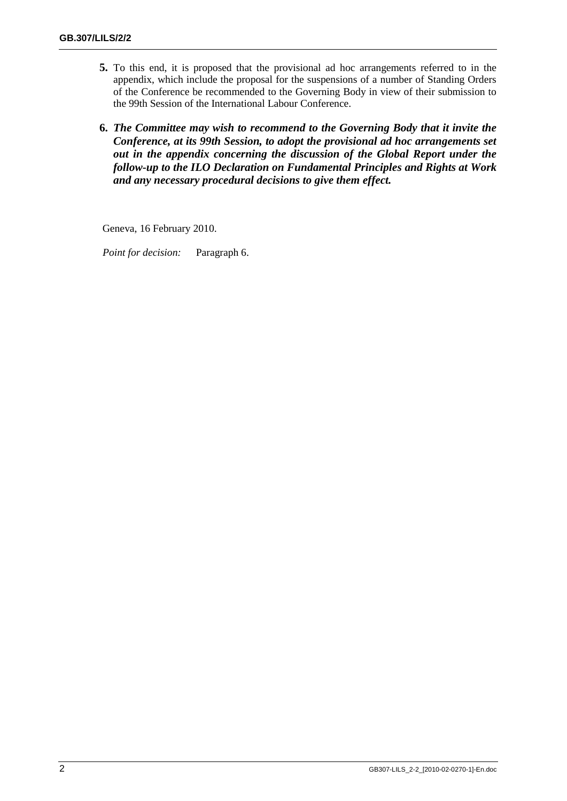- **5.** To this end, it is proposed that the provisional ad hoc arrangements referred to in the appendix, which include the proposal for the suspensions of a number of Standing Orders of the Conference be recommended to the Governing Body in view of their submission to the 99th Session of the International Labour Conference.
- **6.** *The Committee may wish to recommend to the Governing Body that it invite the Conference, at its 99th Session, to adopt the provisional ad hoc arrangements set out in the appendix concerning the discussion of the Global Report under the follow-up to the ILO Declaration on Fundamental Principles and Rights at Work and any necessary procedural decisions to give them effect.*

Geneva, 16 February 2010.

*Point for decision:* Paragraph 6.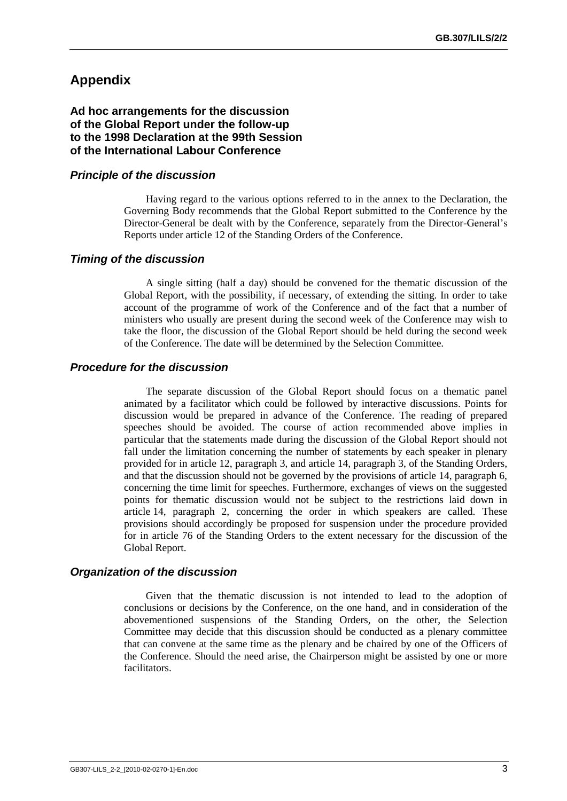# **Appendix**

**Ad hoc arrangements for the discussion of the Global Report under the follow-up to the 1998 Declaration at the 99th Session of the International Labour Conference**

#### *Principle of the discussion*

Having regard to the various options referred to in the annex to the Declaration, the Governing Body recommends that the Global Report submitted to the Conference by the Director-General be dealt with by the Conference, separately from the Director-General's Reports under article 12 of the Standing Orders of the Conference.

#### *Timing of the discussion*

A single sitting (half a day) should be convened for the thematic discussion of the Global Report, with the possibility, if necessary, of extending the sitting. In order to take account of the programme of work of the Conference and of the fact that a number of ministers who usually are present during the second week of the Conference may wish to take the floor, the discussion of the Global Report should be held during the second week of the Conference. The date will be determined by the Selection Committee.

#### *Procedure for the discussion*

The separate discussion of the Global Report should focus on a thematic panel animated by a facilitator which could be followed by interactive discussions. Points for discussion would be prepared in advance of the Conference. The reading of prepared speeches should be avoided. The course of action recommended above implies in particular that the statements made during the discussion of the Global Report should not fall under the limitation concerning the number of statements by each speaker in plenary provided for in article 12, paragraph 3, and article 14, paragraph 3, of the Standing Orders, and that the discussion should not be governed by the provisions of article 14, paragraph 6, concerning the time limit for speeches. Furthermore, exchanges of views on the suggested points for thematic discussion would not be subject to the restrictions laid down in article 14, paragraph 2, concerning the order in which speakers are called. These provisions should accordingly be proposed for suspension under the procedure provided for in article 76 of the Standing Orders to the extent necessary for the discussion of the Global Report.

#### *Organization of the discussion*

Given that the thematic discussion is not intended to lead to the adoption of conclusions or decisions by the Conference, on the one hand, and in consideration of the abovementioned suspensions of the Standing Orders, on the other, the Selection Committee may decide that this discussion should be conducted as a plenary committee that can convene at the same time as the plenary and be chaired by one of the Officers of the Conference. Should the need arise, the Chairperson might be assisted by one or more facilitators.